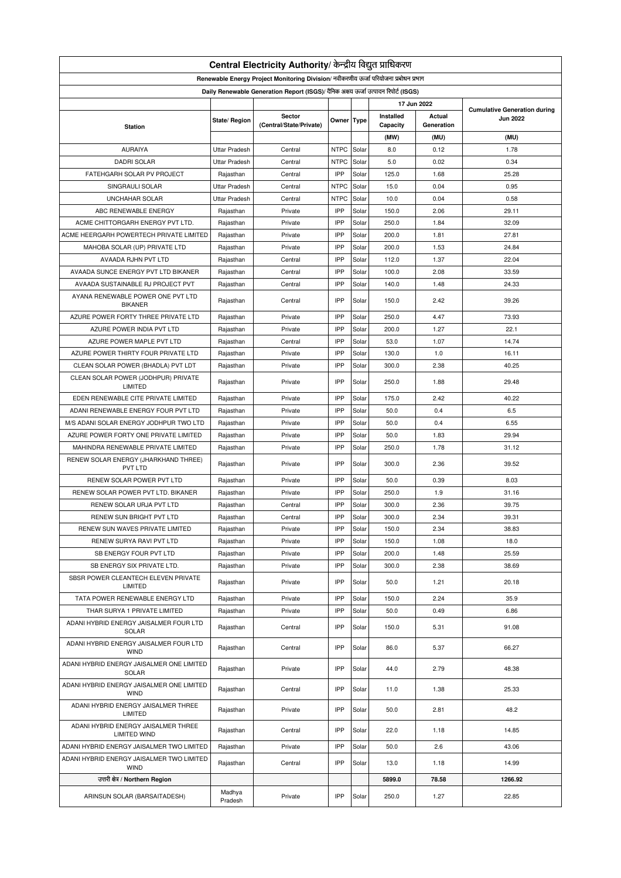| Central Electricity Authority/ केन्द्रीय विद्युत प्राधिकरण                           |                      |                                   |             |       |                       |                      |                                                        |  |  |
|--------------------------------------------------------------------------------------|----------------------|-----------------------------------|-------------|-------|-----------------------|----------------------|--------------------------------------------------------|--|--|
| Renewable Energy Project Monitoring Division/ नवीकरणीय ऊर्जा परियोजना प्रबोधन प्रभाग |                      |                                   |             |       |                       |                      |                                                        |  |  |
| Daily Renewable Generation Report (ISGS)/ दैनिक अक्षय ऊर्जा उत्पादन रिपोर्ट (ISGS)   |                      |                                   |             |       |                       |                      |                                                        |  |  |
| 17 Jun 2022                                                                          |                      |                                   |             |       |                       |                      |                                                        |  |  |
|                                                                                      | State/ Region        | Sector<br>(Central/State/Private) | Owner Type  |       | Installed<br>Capacity | Actual<br>Generation | <b>Cumulative Generation during</b><br><b>Jun 2022</b> |  |  |
| <b>Station</b>                                                                       |                      |                                   |             |       |                       |                      |                                                        |  |  |
|                                                                                      |                      |                                   |             |       | (MW)                  | (MU)                 | (MU)                                                   |  |  |
| AURAIYA                                                                              | <b>Uttar Pradesh</b> | Central                           | <b>NTPC</b> | Solar | 8.0                   | 0.12                 | 1.78                                                   |  |  |
| <b>DADRI SOLAR</b>                                                                   | <b>Uttar Pradesh</b> | Central                           | <b>NTPC</b> | Solar | 5.0                   | 0.02                 | 0.34                                                   |  |  |
| FATEHGARH SOLAR PV PROJECT                                                           | Rajasthan            | Central                           | IPP         | Solar | 125.0                 | 1.68                 | 25.28                                                  |  |  |
| SINGRAULI SOLAR                                                                      | <b>Uttar Pradesh</b> | Central                           | <b>NTPC</b> | Solar | 15.0                  | 0.04                 | 0.95                                                   |  |  |
| <b>UNCHAHAR SOLAR</b>                                                                | <b>Uttar Pradesh</b> | Central                           | <b>NTPC</b> | Solar | 10.0                  | 0.04                 | 0.58                                                   |  |  |
| ABC RENEWABLE ENERGY                                                                 | Rajasthan            | Private                           | IPP         | Solar | 150.0                 | 2.06                 | 29.11                                                  |  |  |
| ACME CHITTORGARH ENERGY PVT LTD.                                                     | Rajasthan            | Private                           | IPP         | Solar | 250.0                 | 1.84                 | 32.09                                                  |  |  |
| ACME HEERGARH POWERTECH PRIVATE LIMITED                                              | Rajasthan            | Private                           | IPP         | Solar | 200.0                 | 1.81                 | 27.81                                                  |  |  |
| MAHOBA SOLAR (UP) PRIVATE LTD                                                        | Rajasthan            | Private                           | IPP         | Solar | 200.0                 | 1.53                 | 24.84                                                  |  |  |
| AVAADA RJHN PVT LTD                                                                  | Rajasthan            | Central                           | IPP         | Solar | 112.0                 | 1.37                 | 22.04                                                  |  |  |
| AVAADA SUNCE ENERGY PVT LTD BIKANER                                                  | Rajasthan            | Central                           | IPP         | Solar | 100.0                 | 2.08                 | 33.59                                                  |  |  |
| AVAADA SUSTAINABLE RJ PROJECT PVT                                                    | Rajasthan            | Central                           | IPP         | Solar | 140.0                 | 1.48                 | 24.33                                                  |  |  |
| AYANA RENEWABLE POWER ONE PVT LTD<br><b>BIKANER</b>                                  | Rajasthan            | Central                           | IPP         | Solar | 150.0                 | 2.42                 | 39.26                                                  |  |  |
| AZURE POWER FORTY THREE PRIVATE LTD                                                  | Rajasthan            | Private                           | IPP         | Solar | 250.0                 | 4.47                 | 73.93                                                  |  |  |
| AZURE POWER INDIA PVT LTD                                                            | Rajasthan            | Private                           | IPP         | Solar | 200.0                 | 1.27                 | 22.1                                                   |  |  |
| AZURE POWER MAPLE PVT LTD                                                            | Rajasthan            | Central                           | IPP         | Solar | 53.0                  | 1.07                 | 14.74                                                  |  |  |
| AZURE POWER THIRTY FOUR PRIVATE LTD                                                  | Rajasthan            | Private                           | IPP         | Solar | 130.0                 | 1.0                  | 16.11                                                  |  |  |
| CLEAN SOLAR POWER (BHADLA) PVT LDT                                                   | Rajasthan            | Private                           | IPP         | Solar | 300.0                 | 2.38                 | 40.25                                                  |  |  |
| CLEAN SOLAR POWER (JODHPUR) PRIVATE<br>LIMITED                                       | Rajasthan            | Private                           | IPP         | Solar | 250.0                 | 1.88                 | 29.48                                                  |  |  |
| EDEN RENEWABLE CITE PRIVATE LIMITED                                                  | Rajasthan            | Private                           | IPP         | Solar | 175.0                 | 2.42                 | 40.22                                                  |  |  |
| ADANI RENEWABLE ENERGY FOUR PVT LTD                                                  | Rajasthan            | Private                           | IPP         | Solar | 50.0                  | 0.4                  | 6.5                                                    |  |  |
| M/S ADANI SOLAR ENERGY JODHPUR TWO LTD                                               | Rajasthan            | Private                           | IPP         | Solar | 50.0                  | 0.4                  | 6.55                                                   |  |  |
| AZURE POWER FORTY ONE PRIVATE LIMITED                                                | Rajasthan            | Private                           | IPP         | Solar | 50.0                  | 1.83                 | 29.94                                                  |  |  |
|                                                                                      |                      |                                   | IPP         |       |                       |                      |                                                        |  |  |
| MAHINDRA RENEWABLE PRIVATE LIMITED                                                   | Rajasthan            | Private                           |             | Solar | 250.0                 | 1.78                 | 31.12                                                  |  |  |
| RENEW SOLAR ENERGY (JHARKHAND THREE)<br>PVT LTD                                      | Rajasthan            | Private                           | IPP         | Solar | 300.0                 | 2.36                 | 39.52                                                  |  |  |
| RENEW SOLAR POWER PVT LTD                                                            | Rajasthan            | Private                           | IPP         | Solar | 50.0                  | 0.39                 | 8.03                                                   |  |  |
| RENEW SOLAR POWER PVT LTD. BIKANER                                                   | Rajasthan            | Private                           | IPP         | Solar | 250.0                 | 1.9                  | 31.16                                                  |  |  |
| RENEW SOLAR URJA PVT LTD                                                             | Rajasthan            | Central                           | IPP         | Solar | 300.0                 | 2.36                 | 39.75                                                  |  |  |
| RENEW SUN BRIGHT PVT LTD                                                             | Rajasthan            | Central                           | IPP         | Solar | 300.0                 | 2.34                 | 39.31                                                  |  |  |
| RENEW SUN WAVES PRIVATE LIMITED                                                      | Rajasthan            | Private                           | IPP         | Solar | 150.0                 | 2.34                 | 38.83                                                  |  |  |
| RENEW SURYA RAVI PVT LTD                                                             | Rajasthan            | Private                           | IPP         | Solar | 150.0                 | 1.08                 | 18.0                                                   |  |  |
| SB ENERGY FOUR PVT LTD                                                               | Rajasthan            | Private                           | IPP         | Solar | 200.0                 | 1.48                 | 25.59                                                  |  |  |
| SB ENERGY SIX PRIVATE LTD.                                                           | Rajasthan            | Private                           | IPP         | Solar | 300.0                 | 2.38                 | 38.69                                                  |  |  |
| SBSR POWER CLEANTECH ELEVEN PRIVATE<br>LIMITED                                       | Rajasthan            | Private                           | IPP         | Solar | 50.0                  | 1.21                 | 20.18                                                  |  |  |
| TATA POWER RENEWABLE ENERGY LTD                                                      | Rajasthan            | Private                           | IPP         | Solar | 150.0                 | 2.24                 | 35.9                                                   |  |  |
| THAR SURYA 1 PRIVATE LIMITED                                                         | Rajasthan            | Private                           | IPP         | Solar | 50.0                  | 0.49                 | 6.86                                                   |  |  |
| ADANI HYBRID ENERGY JAISALMER FOUR LTD<br>SOLAR                                      | Rajasthan            | Central                           | IPP         | Solar | 150.0                 | 5.31                 | 91.08                                                  |  |  |
| ADANI HYBRID ENERGY JAISALMER FOUR LTD<br><b>WIND</b>                                | Rajasthan            | Central                           | IPP         | Solar | 86.0                  | 5.37                 | 66.27                                                  |  |  |
| ADANI HYBRID ENERGY JAISALMER ONE LIMITED<br>SOLAR                                   | Rajasthan            | Private                           | IPP         | Solar | 44.0                  | 2.79                 | 48.38                                                  |  |  |
| ADANI HYBRID ENERGY JAISALMER ONE LIMITED<br><b>WIND</b>                             | Rajasthan            | Central                           | IPP         | Solar | 11.0                  | 1.38                 | 25.33                                                  |  |  |
| ADANI HYBRID ENERGY JAISALMER THREE<br>LIMITED                                       | Rajasthan            | Private                           | IPP         | Solar | 50.0                  | 2.81                 | 48.2                                                   |  |  |
| ADANI HYBRID ENERGY JAISALMER THREE                                                  | Rajasthan            | Central                           | IPP         | Solar | 22.0                  | 1.18                 | 14.85                                                  |  |  |
| <b>LIMITED WIND</b>                                                                  |                      |                                   |             |       |                       |                      |                                                        |  |  |
| ADANI HYBRID ENERGY JAISALMER TWO LIMITED                                            | Rajasthan            | Private                           | IPP         | Solar | 50.0                  | 2.6                  | 43.06                                                  |  |  |
| ADANI HYBRID ENERGY JAISALMER TWO LIMITED<br><b>WIND</b>                             | Rajasthan            | Central                           | IPP         | Solar | 13.0                  | 1.18                 | 14.99                                                  |  |  |
| उत्तरी क्षेत्र / Northern Region                                                     |                      |                                   |             |       | 5899.0                | 78.58                | 1266.92                                                |  |  |
| ARINSUN SOLAR (BARSAITADESH)                                                         | Madhya<br>Pradesh    | Private                           | IPP         | Solar | 250.0                 | 1.27                 | 22.85                                                  |  |  |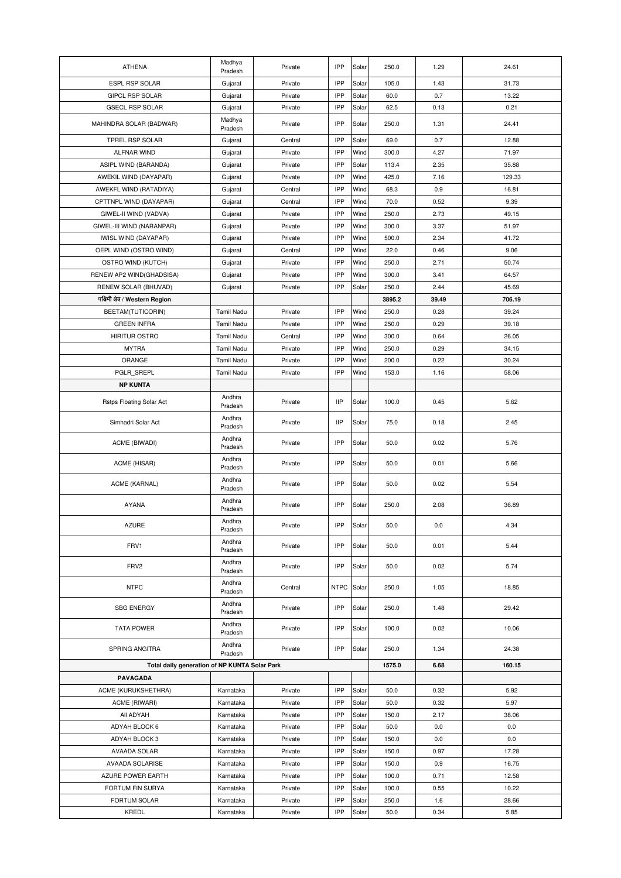| <b>ATHENA</b>                                 | Madhya<br>Pradesh | Private | IPP        | Solar | 250.0  | 1.29  | 24.61  |
|-----------------------------------------------|-------------------|---------|------------|-------|--------|-------|--------|
| ESPL RSP SOLAR                                | Gujarat           | Private | IPP        | Solar | 105.0  | 1.43  | 31.73  |
| <b>GIPCL RSP SOLAR</b>                        | Gujarat           | Private | IPP        | Solar | 60.0   | 0.7   | 13.22  |
| <b>GSECL RSP SOLAR</b>                        | Gujarat           | Private | IPP        | Solar | 62.5   | 0.13  | 0.21   |
| MAHINDRA SOLAR (BADWAR)                       | Madhya<br>Pradesh | Private | IPP        | Solar | 250.0  | 1.31  | 24.41  |
| TPREL RSP SOLAR                               | Gujarat           | Central | IPP        | Solar | 69.0   | 0.7   | 12.88  |
| ALFNAR WIND                                   | Gujarat           | Private | IPP        | Wind  | 300.0  | 4.27  | 71.97  |
| ASIPL WIND (BARANDA)                          | Gujarat           | Private | IPP        | Solar | 113.4  | 2.35  | 35.88  |
| AWEKIL WIND (DAYAPAR)                         | Gujarat           | Private | IPP        | Wind  | 425.0  | 7.16  | 129.33 |
| AWEKFL WIND (RATADIYA)                        | Gujarat           | Central | IPP        | Wind  | 68.3   | 0.9   | 16.81  |
| CPTTNPL WIND (DAYAPAR)                        | Gujarat           | Central | IPP        | Wind  | 70.0   | 0.52  | 9.39   |
| GIWEL-II WIND (VADVA)                         | Gujarat           | Private | IPP        | Wind  | 250.0  | 2.73  | 49.15  |
| GIWEL-III WIND (NARANPAR)                     | Gujarat           | Private | IPP        | Wind  | 300.0  | 3.37  | 51.97  |
| <b>IWISL WIND (DAYAPAR)</b>                   | Gujarat           | Private | IPP        | Wind  | 500.0  | 2.34  | 41.72  |
| OEPL WIND (OSTRO WIND)                        | Gujarat           | Central | IPP        | Wind  | 22.0   | 0.46  | 9.06   |
| OSTRO WIND (KUTCH)                            | Gujarat           | Private | IPP        | Wind  | 250.0  | 2.71  | 50.74  |
| RENEW AP2 WIND(GHADSISA)                      | Gujarat           | Private | IPP        | Wind  | 300.0  | 3.41  | 64.57  |
| RENEW SOLAR (BHUVAD)                          | Gujarat           | Private | IPP        | Solar | 250.0  | 2.44  | 45.69  |
| पश्चिमी क्षेत्र / Western Region              |                   |         |            |       | 3895.2 | 39.49 | 706.19 |
| BEETAM(TUTICORIN)                             | <b>Tamil Nadu</b> | Private | IPP        | Wind  | 250.0  | 0.28  | 39.24  |
| <b>GREEN INFRA</b>                            | Tamil Nadu        | Private | IPP        | Wind  | 250.0  | 0.29  | 39.18  |
| <b>HIRITUR OSTRO</b>                          | Tamil Nadu        | Central | IPP        | Wind  | 300.0  | 0.64  | 26.05  |
| <b>MYTRA</b>                                  | Tamil Nadu        | Private | IPP        | Wind  | 250.0  | 0.29  | 34.15  |
| ORANGE                                        | Tamil Nadu        | Private | IPP        | Wind  | 200.0  | 0.22  | 30.24  |
| PGLR SREPL                                    | Tamil Nadu        | Private | IPP        | Wind  | 153.0  | 1.16  | 58.06  |
| <b>NP KUNTA</b>                               |                   |         |            |       |        |       |        |
| Rstps Floating Solar Act                      | Andhra<br>Pradesh | Private | <b>IIP</b> | Solar | 100.0  | 0.45  | 5.62   |
| Simhadri Solar Act                            | Andhra<br>Pradesh | Private | <b>IIP</b> | Solar | 75.0   | 0.18  | 2.45   |
| ACME (BIWADI)                                 | Andhra<br>Pradesh | Private | IPP        | Solar | 50.0   | 0.02  | 5.76   |
| ACME (HISAR)                                  | Andhra<br>Pradesh | Private | IPP        | Solar | 50.0   | 0.01  | 5.66   |
| ACME (KARNAL)                                 | Andhra<br>Pradesh | Private | IPP        | Solar | 50.0   | 0.02  | 5.54   |
| <b>AYANA</b>                                  | Andhra<br>Pradesh | Private | IPP        | Solar | 250.0  | 2.08  | 36.89  |
| <b>AZURE</b>                                  | Andhra<br>Pradesh | Private | IPP        | Solar | 50.0   | 0.0   | 4.34   |
| FRV1                                          | Andhra<br>Pradesh | Private | IPP        | Solar | 50.0   | 0.01  | 5.44   |
| FRV2                                          | Andhra<br>Pradesh | Private | IPP        | Solar | 50.0   | 0.02  | 5.74   |
| <b>NTPC</b>                                   | Andhra<br>Pradesh | Central | NTPC       | Solar | 250.0  | 1.05  | 18.85  |
| <b>SBG ENERGY</b>                             | Andhra<br>Pradesh | Private | IPP        | Solar | 250.0  | 1.48  | 29.42  |
| <b>TATA POWER</b>                             | Andhra<br>Pradesh | Private | IPP        | Solar | 100.0  | 0.02  | 10.06  |
| SPRING ANGITRA                                | Andhra<br>Pradesh | Private | IPP        | Solar | 250.0  | 1.34  | 24.38  |
| Total daily generation of NP KUNTA Solar Park |                   |         |            |       | 1575.0 | 6.68  | 160.15 |
| PAVAGADA                                      |                   |         |            |       |        |       |        |
| ACME (KURUKSHETHRA)                           | Karnataka         | Private | IPP        | Solar | 50.0   | 0.32  | 5.92   |
| ACME (RIWARI)                                 | Karnataka         | Private | IPP        | Solar | 50.0   | 0.32  | 5.97   |
| All ADYAH                                     | Karnataka         | Private | IPP        | Solar | 150.0  | 2.17  | 38.06  |
| ADYAH BLOCK 6                                 | Karnataka         | Private | IPP        | Solar | 50.0   | 0.0   | 0.0    |
| ADYAH BLOCK 3                                 | Karnataka         | Private | IPP        | Solar | 150.0  | 0.0   | 0.0    |
| AVAADA SOLAR                                  | Karnataka         | Private | IPP        | Solar | 150.0  | 0.97  | 17.28  |
| AVAADA SOLARISE                               | Karnataka         | Private | IPP        | Solar | 150.0  | 0.9   | 16.75  |
| AZURE POWER EARTH                             | Karnataka         | Private | IPP        | Solar | 100.0  | 0.71  | 12.58  |
| FORTUM FIN SURYA                              | Karnataka         | Private | IPP        | Solar | 100.0  | 0.55  | 10.22  |
| FORTUM SOLAR                                  | Karnataka         | Private | IPP        | Solar | 250.0  | 1.6   | 28.66  |
| KREDL                                         | Karnataka         | Private | IPP        | Solar | 50.0   | 0.34  | 5.85   |